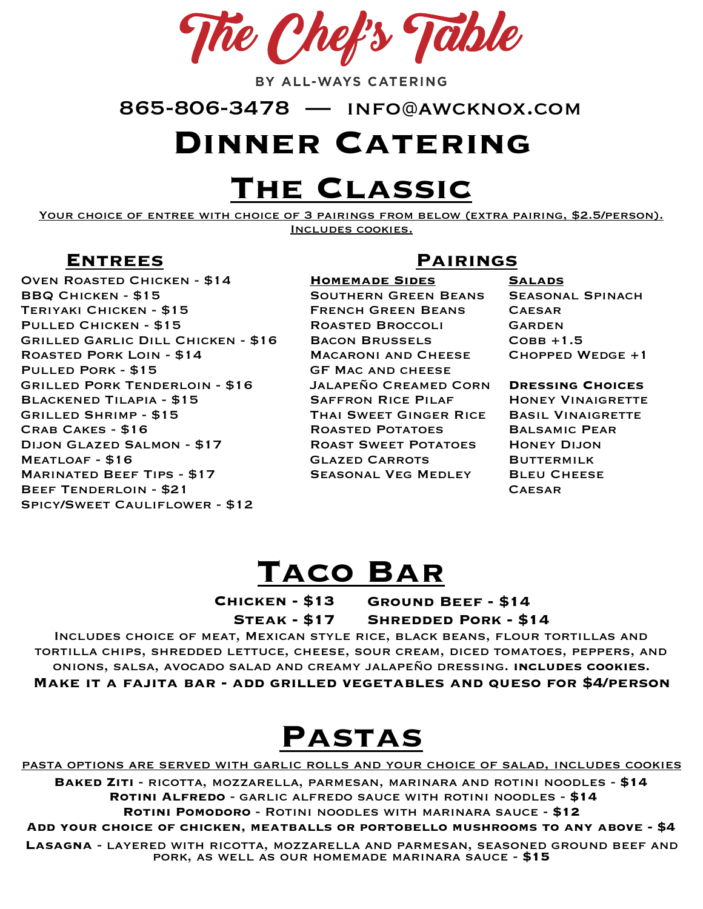The Chef's Table

BY ALL-WAYS CATERING

865-806-3478 — info@awcknox.com

#### **Dinner Catering**

## **The Classic**

YOUR CHOICE OF ENTREE WITH CHOICE OF 3 PAIRINGS FROM BELOW (EXTRA PAIRING, \$2.5/PERSON). Includes cookies.

Oven Roasted Chicken - \$14 BBQ Chicken - \$15 Teriyaki Chicken - \$15 Pulled Chicken - \$15 Grilled Garlic Dill Chicken - \$16 Roasted Pork Loin - \$14 Pulled Pork - \$15 Grilled Pork Tenderloin - \$16 Blackened Tilapia - \$15 Grilled Shrimp - \$15 Crab Cakes - \$16 Dijon Glazed Salmon - \$17 Meatloaf - \$16 Marinated Beef Tips - \$17 Beef Tenderloin - \$21 Spicy/Sweet Cauliflower - \$12

#### **Entrees Pairings**

**Homemade Sides** 

Southern Green Beans French Green Beans Roasted Broccoli Bacon Brussels Macaroni and Cheese GF Mac and cheese Jalapeño Creamed Corn Saffron Rice Pilaf Thai Sweet Ginger Rice Roasted Potatoes Roast Sweet Potatoes Glazed Carrots Seasonal Veg Medley

**Salads** Seasonal Spinach **CAESAR** GARDEN  $COBB + 1.5$ Chopped Wedge +1

**Dressing Choices** 

**HONEY VINAIGRETTE** Basil Vinaigrette Balsamic Pear Honey Dijon **BUTTERMILK BLEU CHEESE CAFSAR** 

#### **Taco Bar**

**Chicken - \$13 Steak - \$17 Ground Beef - \$14 Shredded Pork - \$14**

Includes choice of meat, Mexican style rice, black beans, flour tortillas and tortilla chips, shredded lettuce, cheese, sour cream, diced tomatoes, peppers, and onions, salsa, avocado salad and creamy jalapeño dressing. **includes cookies. Make it a fajita bar - add grilled vegetables and queso for \$4/person** 

### **Pastas**

pasta options are served with garlic rolls and your choice of salad, includes cookies

**Baked Ziti** - ricotta, mozzarella, parmesan, marinara and rotini noodles - **\$14 Rotini Alfredo** - garlic alfredo sauce with rotini noodles - **\$14 Rotini Pomodoro** - Rotini noodles with marinara sauce - **\$12** 

**Add your choice of chicken, meatballs or portobello mushrooms to any above - \$4** 

**Lasagna** - layered with ricotta, mozzarella and parmesan, seasoned ground beef and pork, as well as our homemade marinara sauce - **\$15**